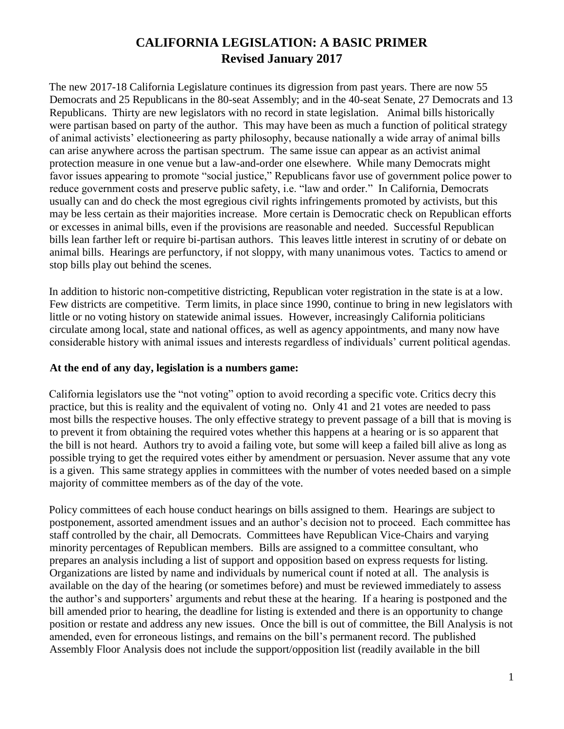## **CALIFORNIA LEGISLATION: A BASIC PRIMER Revised January 2017**

The new 2017-18 California Legislature continues its digression from past years. There are now 55 Democrats and 25 Republicans in the 80-seat Assembly; and in the 40-seat Senate, 27 Democrats and 13 Republicans. Thirty are new legislators with no record in state legislation.Animal bills historically were partisan based on party of the author. This may have been as much a function of political strategy of animal activists' electioneering as party philosophy, because nationally a wide array of animal bills can arise anywhere across the partisan spectrum. The same issue can appear as an activist animal protection measure in one venue but a law-and-order one elsewhere. While many Democrats might favor issues appearing to promote "social justice," Republicans favor use of government police power to reduce government costs and preserve public safety, i.e. "law and order." In California, Democrats usually can and do check the most egregious civil rights infringements promoted by activists, but this may be less certain as their majorities increase. More certain is Democratic check on Republican efforts or excesses in animal bills, even if the provisions are reasonable and needed. Successful Republican bills lean farther left or require bi-partisan authors. This leaves little interest in scrutiny of or debate on animal bills. Hearings are perfunctory, if not sloppy, with many unanimous votes. Tactics to amend or stop bills play out behind the scenes.

In addition to historic non-competitive districting, Republican voter registration in the state is at a low. Few districts are competitive. Term limits, in place since 1990, continue to bring in new legislators with little or no voting history on statewide animal issues. However, increasingly California politicians circulate among local, state and national offices, as well as agency appointments, and many now have considerable history with animal issues and interests regardless of individuals' current political agendas.

## **At the end of any day, legislation is a numbers game:**

California legislators use the "not voting" option to avoid recording a specific vote. Critics decry this practice, but this is reality and the equivalent of voting no. Only 41 and 21 votes are needed to pass most bills the respective houses. The only effective strategy to prevent passage of a bill that is moving is to prevent it from obtaining the required votes whether this happens at a hearing or is so apparent that the bill is not heard. Authors try to avoid a failing vote, but some will keep a failed bill alive as long as possible trying to get the required votes either by amendment or persuasion. Never assume that any vote is a given. This same strategy applies in committees with the number of votes needed based on a simple majority of committee members as of the day of the vote.

Policy committees of each house conduct hearings on bills assigned to them. Hearings are subject to postponement, assorted amendment issues and an author's decision not to proceed. Each committee has staff controlled by the chair, all Democrats. Committees have Republican Vice-Chairs and varying minority percentages of Republican members. Bills are assigned to a committee consultant, who prepares an analysis including a list of support and opposition based on express requests for listing. Organizations are listed by name and individuals by numerical count if noted at all. The analysis is available on the day of the hearing (or sometimes before) and must be reviewed immediately to assess the author's and supporters' arguments and rebut these at the hearing. If a hearing is postponed and the bill amended prior to hearing, the deadline for listing is extended and there is an opportunity to change position or restate and address any new issues. Once the bill is out of committee, the Bill Analysis is not amended, even for erroneous listings, and remains on the bill's permanent record. The published Assembly Floor Analysis does not include the support/opposition list (readily available in the bill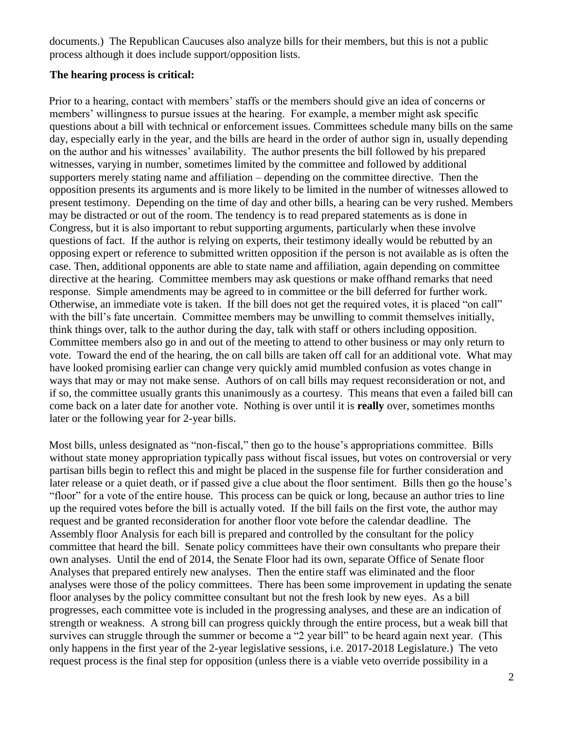documents.) The Republican Caucuses also analyze bills for their members, but this is not a public process although it does include support/opposition lists.

## **The hearing process is critical:**

Prior to a hearing, contact with members' staffs or the members should give an idea of concerns or members' willingness to pursue issues at the hearing. For example, a member might ask specific questions about a bill with technical or enforcement issues. Committees schedule many bills on the same day, especially early in the year, and the bills are heard in the order of author sign in, usually depending on the author and his witnesses' availability. The author presents the bill followed by his prepared witnesses, varying in number, sometimes limited by the committee and followed by additional supporters merely stating name and affiliation – depending on the committee directive. Then the opposition presents its arguments and is more likely to be limited in the number of witnesses allowed to present testimony. Depending on the time of day and other bills, a hearing can be very rushed. Members may be distracted or out of the room. The tendency is to read prepared statements as is done in Congress, but it is also important to rebut supporting arguments, particularly when these involve questions of fact. If the author is relying on experts, their testimony ideally would be rebutted by an opposing expert or reference to submitted written opposition if the person is not available as is often the case. Then, additional opponents are able to state name and affiliation, again depending on committee directive at the hearing. Committee members may ask questions or make offhand remarks that need response. Simple amendments may be agreed to in committee or the bill deferred for further work. Otherwise, an immediate vote is taken. If the bill does not get the required votes, it is placed "on call" with the bill's fate uncertain. Committee members may be unwilling to commit themselves initially, think things over, talk to the author during the day, talk with staff or others including opposition. Committee members also go in and out of the meeting to attend to other business or may only return to vote. Toward the end of the hearing, the on call bills are taken off call for an additional vote. What may have looked promising earlier can change very quickly amid mumbled confusion as votes change in ways that may or may not make sense. Authors of on call bills may request reconsideration or not, and if so, the committee usually grants this unanimously as a courtesy. This means that even a failed bill can come back on a later date for another vote. Nothing is over until it is **really** over, sometimes months later or the following year for 2-year bills.

Most bills, unless designated as "non-fiscal," then go to the house's appropriations committee. Bills without state money appropriation typically pass without fiscal issues, but votes on controversial or very partisan bills begin to reflect this and might be placed in the suspense file for further consideration and later release or a quiet death, or if passed give a clue about the floor sentiment. Bills then go the house's "floor" for a vote of the entire house. This process can be quick or long, because an author tries to line up the required votes before the bill is actually voted. If the bill fails on the first vote, the author may request and be granted reconsideration for another floor vote before the calendar deadline. The Assembly floor Analysis for each bill is prepared and controlled by the consultant for the policy committee that heard the bill. Senate policy committees have their own consultants who prepare their own analyses. Until the end of 2014, the Senate Floor had its own, separate Office of Senate floor Analyses that prepared entirely new analyses. Then the entire staff was eliminated and the floor analyses were those of the policy committees. There has been some improvement in updating the senate floor analyses by the policy committee consultant but not the fresh look by new eyes. As a bill progresses, each committee vote is included in the progressing analyses, and these are an indication of strength or weakness.A strong bill can progress quickly through the entire process, but a weak bill that survives can struggle through the summer or become a "2 year bill" to be heard again next year. (This only happens in the first year of the 2-year legislative sessions, i.e. 2017-2018 Legislature.) The veto request process is the final step for opposition (unless there is a viable veto override possibility in a